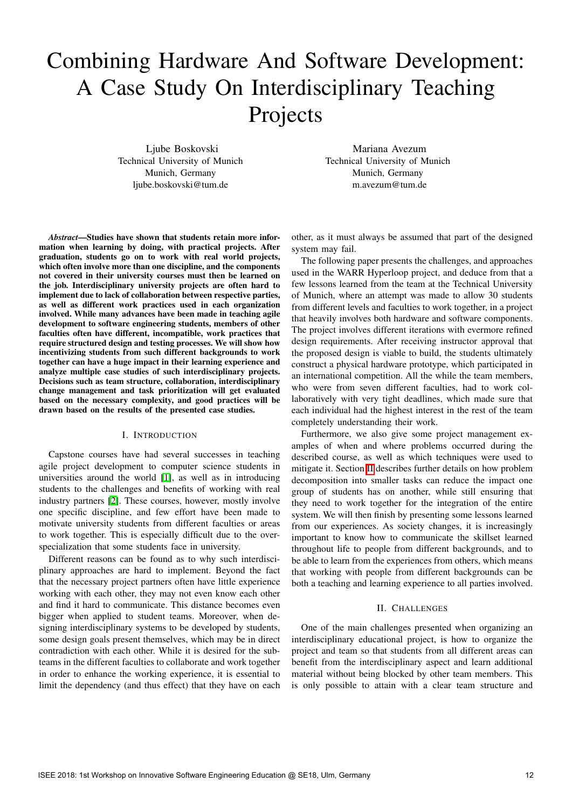# Combining Hardware And Software Development: A Case Study On Interdisciplinary Teaching Projects

Ljube Boskovski Technical University of Munich Munich, Germany ljube.boskovski@tum.de

Mariana Avezum Technical University of Munich Munich, Germany m.avezum@tum.de

*Abstract*—Studies have shown that students retain more information when learning by doing, with practical projects. After graduation, students go on to work with real world projects, which often involve more than one discipline, and the components not covered in their university courses must then be learned on the job. Interdisciplinary university projects are often hard to implement due to lack of collaboration between respective parties, as well as different work practices used in each organization involved. While many advances have been made in teaching agile development to software engineering students, members of other faculties often have different, incompatible, work practices that require structured design and testing processes. We will show how incentivizing students from such different backgrounds to work together can have a huge impact in their learning experience and analyze multiple case studies of such interdisciplinary projects. Decisions such as team structure, collaboration, interdisciplinary change management and task prioritization will get evaluated based on the necessary complexity, and good practices will be drawn based on the results of the presented case studies.

### I. INTRODUCTION

Capstone courses have had several successes in teaching agile project development to computer science students in universities around the world  $\left|\mathbf{I}\right|$ , as well as in introducing students to the challenges and benefits of working with real industry partners  $\sqrt{2}$ . These courses, however, mostly involve one specific discipline, and few effort have been made to motivate university students from different faculties or areas to work together. This is especially difficult due to the overspecialization that some students face in university.

Different reasons can be found as to why such interdisciplinary approaches are hard to implement. Beyond the fact that the necessary project partners often have little experience working with each other, they may not even know each other and find it hard to communicate. This distance becomes even bigger when applied to student teams. Moreover, when designing interdisciplinary systems to be developed by students, some design goals present themselves, which may be in direct contradiction with each other. While it is desired for the subteams in the different faculties to collaborate and work together in order to enhance the working experience, it is essential to limit the dependency (and thus effect) that they have on each

other, as it must always be assumed that part of the designed system may fail.

The following paper presents the challenges, and approaches used in the WARR Hyperloop project, and deduce from that a few lessons learned from the team at the Technical University of Munich, where an attempt was made to allow 30 students from different levels and faculties to work together, in a project that heavily involves both hardware and software components. The project involves different iterations with evermore refined design requirements. After receiving instructor approval that the proposed design is viable to build, the students ultimately construct a physical hardware prototype, which participated in an international competition. All the while the team members, who were from seven different faculties, had to work collaboratively with very tight deadlines, which made sure that each individual had the highest interest in the rest of the team completely understanding their work.

Furthermore, we also give some project management examples of when and where problems occurred during the described course, as well as which techniques were used to mitigate it. Section  $\Xi$  describes further details on how problem decomposition into smaller tasks can reduce the impact one group of students has on another, while still ensuring that they need to work together for the integration of the entire system. We will then finish by presenting some lessons learned from our experiences. As society changes, it is increasingly important to know how to communicate the skillset learned throughout life to people from different backgrounds, and to be able to learn from the experiences from others, which means that working with people from different backgrounds can be both a teaching and learning experience to all parties involved.

#### II. CHALLENGES

One of the main challenges presented when organizing an interdisciplinary educational project, is how to organize the project and team so that students from all different areas can benefit from the interdisciplinary aspect and learn additional material without being blocked by other team members. This is only possible to attain with a clear team structure and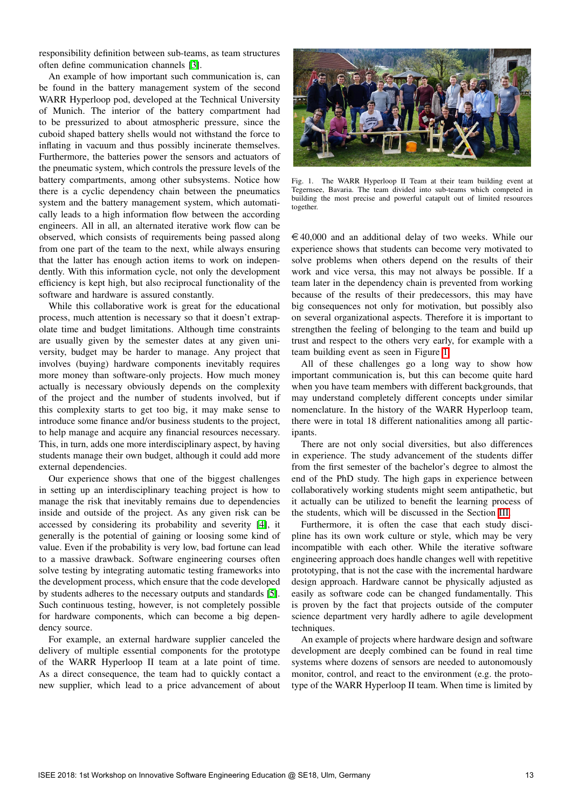responsibility definition between sub-teams, as team structures often define communication channels [\[3\]](#page--1-3).

An example of how important such communication is, can be found in the battery management system of the second WARR Hyperloop pod, developed at the Technical University of Munich. The interior of the battery compartment had to be pressurized to about atmospheric pressure, since the cuboid shaped battery shells would not withstand the force to inflating in vacuum and thus possibly incinerate themselves. Furthermore, the batteries power the sensors and actuators of the pneumatic system, which controls the pressure levels of the battery compartments, among other subsystems. Notice how there is a cyclic dependency chain between the pneumatics system and the battery management system, which automatically leads to a high information flow between the according engineers. All in all, an alternated iterative work flow can be observed, which consists of requirements being passed along from one part of the team to the next, while always ensuring that the latter has enough action items to work on independently. With this information cycle, not only the development efficiency is kept high, but also reciprocal functionality of the software and hardware is assured constantly.

While this collaborative work is great for the educational process, much attention is necessary so that it doesn't extrapolate time and budget limitations. Although time constraints are usually given by the semester dates at any given university, budget may be harder to manage. Any project that involves (buying) hardware components inevitably requires more money than software-only projects. How much money actually is necessary obviously depends on the complexity of the project and the number of students involved, but if this complexity starts to get too big, it may make sense to introduce some finance and/or business students to the project, to help manage and acquire any financial resources necessary. This, in turn, adds one more interdisciplinary aspect, by having students manage their own budget, although it could add more external dependencies.

Our experience shows that one of the biggest challenges in setting up an interdisciplinary teaching project is how to manage the risk that inevitably remains due to dependencies inside and outside of the project. As any given risk can be accessed by considering its probability and severity  $[4]$ , it generally is the potential of gaining or loosing some kind of value. Even if the probability is very low, bad fortune can lead to a massive drawback. Software engineering courses often solve testing by integrating automatic testing frameworks into the development process, which ensure that the code developed by students adheres to the necessary outputs and standards [\[5\]](#page--1-5). Such continuous testing, however, is not completely possible for hardware components, which can become a big dependency source.

For example, an external hardware supplier canceled the delivery of multiple essential components for the prototype of the WARR Hyperloop II team at a late point of time. As a direct consequence, the team had to quickly contact a new supplier, which lead to a price advancement of about



Fig. 1. The WARR Hyperloop II Team at their team building event at Tegernsee, Bavaria. The team divided into sub-teams which competed in building the most precise and powerful catapult out of limited resources together.

 $\epsilon$  40,000 and an additional delay of two weeks. While our experience shows that students can become very motivated to solve problems when others depend on the results of their work and vice versa, this may not always be possible. If a team later in the dependency chain is prevented from working because of the results of their predecessors, this may have big consequences not only for motivation, but possibly also on several organizational aspects. Therefore it is important to strengthen the feeling of belonging to the team and build up trust and respect to the others very early, for example with a team building event as seen in Figure  $\overline{1}$ .

All of these challenges go a long way to show how important communication is, but this can become quite hard when you have team members with different backgrounds, that may understand completely different concepts under similar nomenclature. In the history of the WARR Hyperloop team, there were in total 18 different nationalities among all participants.

There are not only social diversities, but also differences in experience. The study advancement of the students differ from the first semester of the bachelor's degree to almost the end of the PhD study. The high gaps in experience between collaboratively working students might seem antipathetic, but it actually can be utilized to benefit the learning process of the students, which will be discussed in the Section  $\overline{III}$ .

Furthermore, it is often the case that each study discipline has its own work culture or style, which may be very incompatible with each other. While the iterative software engineering approach does handle changes well with repetitive prototyping, that is not the case with the incremental hardware design approach. Hardware cannot be physically adjusted as easily as software code can be changed fundamentally. This is proven by the fact that projects outside of the computer science department very hardly adhere to agile development techniques.

An example of projects where hardware design and software development are deeply combined can be found in real time systems where dozens of sensors are needed to autonomously monitor, control, and react to the environment (e.g. the prototype of the WARR Hyperloop II team. When time is limited by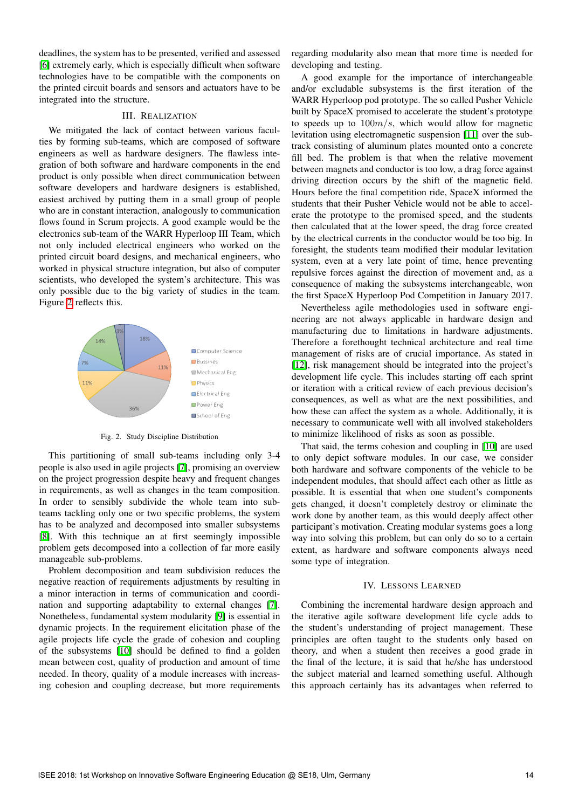deadlines, the system has to be presented, verified and assessed [\[6\]](#page--1-8) extremely early, which is especially difficult when software technologies have to be compatible with the components on the printed circuit boards and sensors and actuators have to be integrated into the structure.

# III. REALIZATION

We mitigated the lack of contact between various faculties by forming sub-teams, which are composed of software engineers as well as hardware designers. The flawless integration of both software and hardware components in the end product is only possible when direct communication between software developers and hardware designers is established, easiest archived by putting them in a small group of people who are in constant interaction, analogously to communication flows found in Scrum projects. A good example would be the electronics sub-team of the WARR Hyperloop III Team, which not only included electrical engineers who worked on the printed circuit board designs, and mechanical engineers, who worked in physical structure integration, but also of computer scientists, who developed the system's architecture. This was only possible due to the big variety of studies in the team. Figure  $\overline{2}$  reflects this.



Fig. 2. Study Discipline Distribution

This partitioning of small sub-teams including only 3-4 people is also used in agile projects [\[7\]](#page--1-10), promising an overview on the project progression despite heavy and frequent changes in requirements, as well as changes in the team composition. In order to sensibly subdivide the whole team into subteams tackling only one or two specific problems, the system has to be analyzed and decomposed into smaller subsystems [\[8\]](#page--1-11). With this technique an at first seemingly impossible problem gets decomposed into a collection of far more easily manageable sub-problems.

Problem decomposition and team subdivision reduces the negative reaction of requirements adjustments by resulting in a minor interaction in terms of communication and coordination and supporting adaptability to external changes  $\boxed{7}$ . Nonetheless, fundamental system modularity [\[9\]](#page--1-12) is essential in dynamic projects. In the requirement elicitation phase of the agile projects life cycle the grade of cohesion and coupling of the subsystems  $[10]$  should be defined to find a golden mean between cost, quality of production and amount of time needed. In theory, quality of a module increases with increasing cohesion and coupling decrease, but more requirements

regarding modularity also mean that more time is needed for developing and testing.

A good example for the importance of interchangeable and/or excludable subsystems is the first iteration of the WARR Hyperloop pod prototype. The so called Pusher Vehicle built by SpaceX promised to accelerate the student's prototype to speeds up to 100*m/s*, which would allow for magnetic levitation using electromagnetic suspension **[\[11\]](#page--1-14)** over the subtrack consisting of aluminum plates mounted onto a concrete fill bed. The problem is that when the relative movement between magnets and conductor is too low, a drag force against driving direction occurs by the shift of the magnetic field. Hours before the final competition ride, SpaceX informed the students that their Pusher Vehicle would not be able to accelerate the prototype to the promised speed, and the students then calculated that at the lower speed, the drag force created by the electrical currents in the conductor would be too big. In foresight, the students team modified their modular levitation system, even at a very late point of time, hence preventing repulsive forces against the direction of movement and, as a consequence of making the subsystems interchangeable, won the first SpaceX Hyperloop Pod Competition in January 2017.

Nevertheless agile methodologies used in software engineering are not always applicable in hardware design and manufacturing due to limitations in hardware adjustments. Therefore a forethought technical architecture and real time management of risks are of crucial importance. As stated in [\[12\]](#page--1-15), risk management should be integrated into the project's development life cycle. This includes starting off each sprint or iteration with a critical review of each previous decision's consequences, as well as what are the next possibilities, and how these can affect the system as a whole. Additionally, it is necessary to communicate well with all involved stakeholders to minimize likelihood of risks as soon as possible.

That said, the terms cohesion and coupling in  $[10]$  are used to only depict software modules. In our case, we consider both hardware and software components of the vehicle to be independent modules, that should affect each other as little as possible. It is essential that when one student's components gets changed, it doesn't completely destroy or eliminate the work done by another team, as this would deeply affect other participant's motivation. Creating modular systems goes a long way into solving this problem, but can only do so to a certain extent, as hardware and software components always need some type of integration.

# IV. LESSONS LEARNED

Combining the incremental hardware design approach and the iterative agile software development life cycle adds to the student's understanding of project management. These principles are often taught to the students only based on theory, and when a student then receives a good grade in the final of the lecture, it is said that he/she has understood the subject material and learned something useful. Although this approach certainly has its advantages when referred to